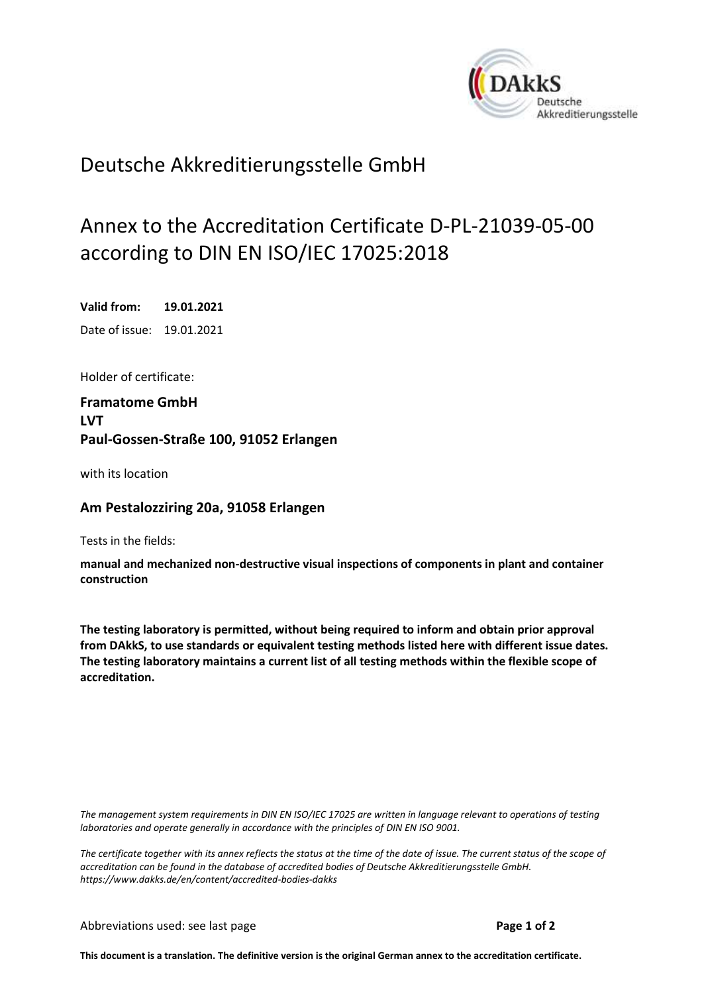<span id="page-0-0"></span>

## Deutsche Akkreditierungsstelle GmbH

## Annex to the Accreditation Certificate D-PL-21039-05-00 according to DIN EN ISO/IEC 17025:2018

<span id="page-0-2"></span><span id="page-0-1"></span>**Valid from: 19.01.2021** Date of issue: 19.01.2021

Holder of certificate:

**Framatome GmbH LVT Paul-Gossen-Straße 100, 91052 Erlangen**

with its location

## **Am Pestalozziring 20a, 91058 Erlangen**

Tests in the fields:

**manual and mechanized non-destructive visual inspections of components in plant and container construction**

**The testing laboratory is permitted, without being required to inform and obtain prior approval from DAkkS, to use standards or equivalent testing methods listed here with different issue dates. The testing laboratory maintains a current list of all testing methods within the flexible scope of accreditation.**

*The management system requirements in DIN EN ISO/IEC 17025 are written in language relevant to operations of testing laboratories and operate generally in accordance with the principles of DIN EN ISO 9001.*

*The certificate together with its annex reflects the status at the time of the date of issue. The current status of the scope of accreditation can be found in the database of accredited bodies of Deutsche Akkreditierungsstelle GmbH. <https://www.dakks.de/en/content/accredited-bodies-dakks>*

**This document is a translation. The definitive version is the original German annex to the accreditation certificate.**